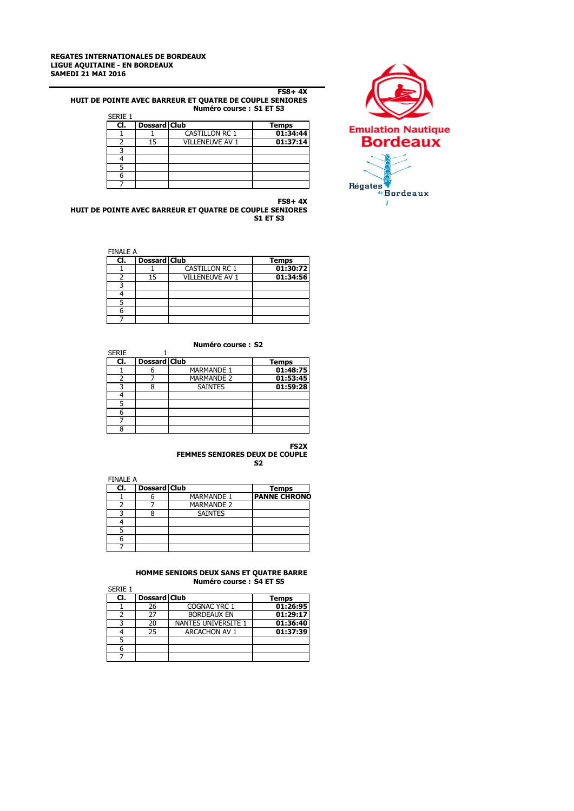

#### **FS8+ 4X HUIT DE POINTE AVEC BARREUR ET QUATRE DE COUPLE SENIORES Numéro course : S1 ET S3** SERIE 1

| SERIE 1 |                     |                        |              |
|---------|---------------------|------------------------|--------------|
| CI.     | <b>Dossard Club</b> |                        | <b>Temps</b> |
|         |                     | <b>CASTILLON RC 1</b>  | 01:34:44     |
|         | 15                  | <b>VILLENEUVE AV 1</b> | 01:37:14     |
|         |                     |                        |              |
|         |                     |                        |              |
|         |                     |                        |              |
|         |                     |                        |              |
|         |                     |                        |              |

**FS8+ 4X HUIT DE POINTE AVEC BARREUR ET QUATRE DE COUPLE SENIORES S1 ET S3**

FINALE A

6 7

| $\sqrt{1 + \frac{1}{2}}$ |                       |                     |  |  |  |  |
|--------------------------|-----------------------|---------------------|--|--|--|--|
|                          |                       | <b>Temps</b>        |  |  |  |  |
|                          | <b>CASTILLON RC 1</b> | 01:30:72            |  |  |  |  |
| 15                       | VILLENEUVE AV 1       | 01:34:56            |  |  |  |  |
|                          |                       |                     |  |  |  |  |
|                          |                       |                     |  |  |  |  |
|                          |                       |                     |  |  |  |  |
|                          |                       |                     |  |  |  |  |
|                          |                       |                     |  |  |  |  |
|                          |                       | <b>Dossard Club</b> |  |  |  |  |

# **Numéro course : S2**

| <b>SERIE</b> |                     |                   |              |
|--------------|---------------------|-------------------|--------------|
| CI.          | <b>Dossard Club</b> |                   | <b>Temps</b> |
|              |                     | <b>MARMANDE 1</b> | 01:48:75     |
|              |                     | <b>MARMANDE 2</b> | 01:53:45     |
|              |                     | <b>SAINTES</b>    | 01:59:28     |
|              |                     |                   |              |
|              |                     |                   |              |
|              |                     |                   |              |
|              |                     |                   |              |
| 8            |                     |                   |              |

#### **FS2X FEMMES SENIORES DEUX DE COUPLE S2**

FINALE A **Club**<br>6 **MARMANDE** 1 **CI. Dossard Club Temps<br>1 6 MARMANDE 1 PANNE CHRONO** 2 7 MARMANDE 2<br>3 8 SAINTES 3 8 SAINTES 4 5

# **HOMME SENIORS DEUX SANS ET QUATRE BARRE Numéro course : S4 ET S5**

|         | 119111610 COUISE , 97 LI 99 |                            |              |  |
|---------|-----------------------------|----------------------------|--------------|--|
| SERIE 1 |                             |                            |              |  |
| CI.     | <b>Dossard Club</b>         |                            | <b>Temps</b> |  |
|         | 26                          | COGNAC YRC 1               | 01:26:95     |  |
|         | 27                          | <b>BORDEAUX EN</b>         | 01:29:17     |  |
|         | 20                          | <b>NANTES UNIVERSITE 1</b> | 01:36:40     |  |
|         | 25                          | <b>ARCACHON AV 1</b>       | 01:37:39     |  |
|         |                             |                            |              |  |
|         |                             |                            |              |  |
|         |                             |                            |              |  |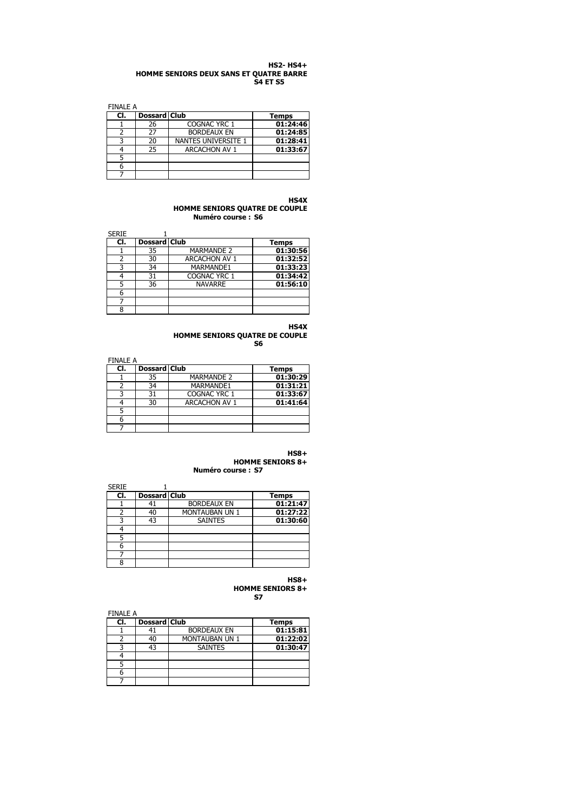#### **HS2- HS4+ HOMME SENIORS DEUX SANS ET QUATRE BARRE S4 ET S5**

FINALE A

| CI. | Dossard Club |                      | Temps    |  |  |  |
|-----|--------------|----------------------|----------|--|--|--|
|     | 26           | COGNAC YRC 1         | 01:24:46 |  |  |  |
|     | 27           | <b>BORDEAUX EN</b>   | 01:24:85 |  |  |  |
|     | 20           | NANTES UNIVERSITE 1  | 01:28:41 |  |  |  |
|     | 25           | <b>ARCACHON AV 1</b> | 01:33:67 |  |  |  |
|     |              |                      |          |  |  |  |
|     |              |                      |          |  |  |  |
|     |              |                      |          |  |  |  |

# **HS4X**

**HOMME SENIORS QUATRE DE COUPLE Numéro course : S6**

| <b>SERIE</b> |                     |                      |              |
|--------------|---------------------|----------------------|--------------|
| CI.          | <b>Dossard Club</b> |                      | <b>Temps</b> |
|              | 35                  | <b>MARMANDE 2</b>    | 01:30:56     |
|              | 30                  | <b>ARCACHON AV 1</b> | 01:32:52     |
|              | 34                  | MARMANDE1            | 01:33:23     |
|              | 31                  | COGNAC YRC 1         | 01:34:42     |
|              | 36                  | <b>NAVARRE</b>       | 01:56:10     |
|              |                     |                      |              |
|              |                     |                      |              |
| o            |                     |                      |              |

**HS4X HOMME SENIORS QUATRE DE COUPLE S6**

| <b>FINALE A</b> |              |                      |              |  |  |  |
|-----------------|--------------|----------------------|--------------|--|--|--|
| CI.             | Dossard Club |                      | <b>Temps</b> |  |  |  |
|                 | 35           | <b>MARMANDE 2</b>    | 01:30:29     |  |  |  |
|                 | 34           | MARMANDE1            | 01:31:21     |  |  |  |
| ς               | 31           | COGNAC YRC 1         | 01:33:67     |  |  |  |
|                 | 30           | <b>ARCACHON AV 1</b> | 01:41:64     |  |  |  |
|                 |              |                      |              |  |  |  |
| 6               |              |                      |              |  |  |  |
|                 |              |                      |              |  |  |  |

**HS8+**

**HOMME SENIORS 8+ Numéro course : S7**

| <b>SERIE</b> |                     |                    |              |
|--------------|---------------------|--------------------|--------------|
| CI.          | <b>Dossard Club</b> |                    | <b>Temps</b> |
|              |                     | <b>BORDEAUX EN</b> | 01:21:47     |
|              | 40                  | MONTAUBAN UN 1     | 01:27:22     |
|              | 43                  | <b>SAINTES</b>     | 01:30:60     |
|              |                     |                    |              |
|              |                     |                    |              |
| 6            |                     |                    |              |
|              |                     |                    |              |
| 8            |                     |                    |              |

**HS8+ HOMME SENIORS 8+ S7**

| <b>FINALE A</b> |              |                    |              |  |  |  |
|-----------------|--------------|--------------------|--------------|--|--|--|
| CI.             | Dossard Club |                    | <b>Temps</b> |  |  |  |
|                 |              | <b>BORDEAUX EN</b> | 01:15:81     |  |  |  |
|                 | 40           | MONTAUBAN UN 1     | 01:22:02     |  |  |  |
|                 | 43           | <b>SAINTES</b>     | 01:30:47     |  |  |  |
|                 |              |                    |              |  |  |  |
|                 |              |                    |              |  |  |  |
|                 |              |                    |              |  |  |  |
|                 |              |                    |              |  |  |  |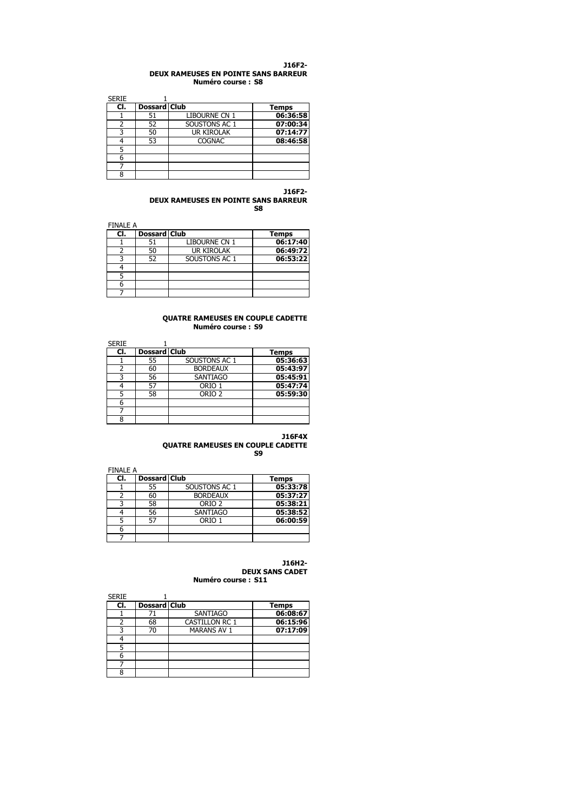#### **J16F2- DEUX RAMEUSES EN POINTE SANS BARREUR Numéro course : S8**

| <b>SERIE</b> |                     |                   |              |
|--------------|---------------------|-------------------|--------------|
| CI.          | <b>Dossard Club</b> |                   | <b>Temps</b> |
|              | 51                  | LIBOURNE CN 1     | 06:36:58     |
|              | 52                  | SOUSTONS AC 1     | 07:00:34     |
|              | 50                  | <b>UR KIROLAK</b> | 07:14:77     |
|              | 53                  | <b>COGNAC</b>     | 08:46:58     |
|              |                     |                   |              |
|              |                     |                   |              |
|              |                     |                   |              |
| ႙            |                     |                   |              |

#### **J16F2- DEUX RAMEUSES EN POINTE SANS BARREUR S8**

FINALE A

| 1 11 YO LL O |                     |                   |              |  |  |  |
|--------------|---------------------|-------------------|--------------|--|--|--|
| CI.          | <b>Dossard Club</b> |                   | <b>Temps</b> |  |  |  |
|              | 51                  | LIBOURNE CN 1     | 06:17:40     |  |  |  |
|              | 50                  | <b>UR KIROLAK</b> | 06:49:72     |  |  |  |
|              | 52                  | SOUSTONS AC 1     | 06:53:22     |  |  |  |
|              |                     |                   |              |  |  |  |
|              |                     |                   |              |  |  |  |
|              |                     |                   |              |  |  |  |
|              |                     |                   |              |  |  |  |

#### **QUATRE RAMEUSES EN COUPLE CADETTE Numéro course : S9**

| <b>SERIE</b> |                     |                   |              |
|--------------|---------------------|-------------------|--------------|
| CI.          | <b>Dossard Club</b> |                   | <b>Temps</b> |
|              | 55                  | SOUSTONS AC 1     | 05:36:63     |
|              | 60                  | <b>BORDEAUX</b>   | 05:43:97     |
|              | 56                  | <b>SANTIAGO</b>   | 05:45:91     |
|              | 57                  | ORIO 1            | 05:47:74     |
|              | 58                  | ORIO <sub>2</sub> | 05:59:30     |
| 6            |                     |                   |              |
|              |                     |                   |              |
| 8            |                     |                   |              |

# **J16F4X**

**QUATRE RAMEUSES EN COUPLE CADETTE S9**

| FINAI F A |                     |                   |          |
|-----------|---------------------|-------------------|----------|
| CI.       | <b>Dossard Club</b> |                   | Temps    |
|           | 55                  | SOUSTONS AC 1     | 05:33:78 |
|           | 60                  | <b>BORDEAUX</b>   | 05:37:27 |
|           | 58                  | ORIO <sub>2</sub> | 05:38:21 |
|           | 56                  | <b>SANTIAGO</b>   | 05:38:52 |
|           | 57                  | ORIO 1            | 06:00:59 |
|           |                     |                   |          |
|           |                     |                   |          |

#### **J16H2- DEUX SANS CADET Numéro course : S11**

| <b>SERIE</b> |                     |                       |              |
|--------------|---------------------|-----------------------|--------------|
| CI.          | <b>Dossard Club</b> |                       | <b>Temps</b> |
|              |                     | <b>SANTIAGO</b>       | 06:08:67     |
|              | 68                  | <b>CASTILLON RC 1</b> | 06:15:96     |
|              | 70                  | <b>MARANS AV 1</b>    | 07:17:09     |
|              |                     |                       |              |
|              |                     |                       |              |
|              |                     |                       |              |
|              |                     |                       |              |
|              |                     |                       |              |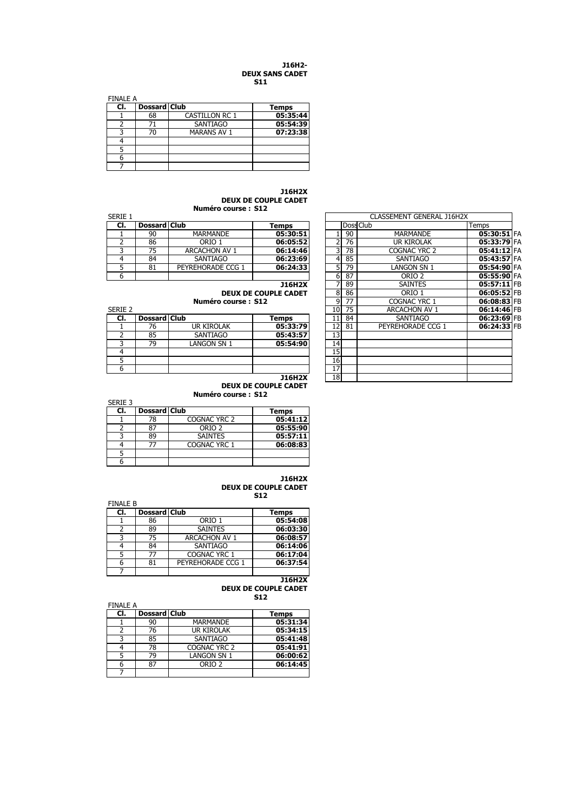#### **J16H2- DEUX SANS CADET S11**

| <b>FINALE A</b> |              |                       |              |  |  |  |
|-----------------|--------------|-----------------------|--------------|--|--|--|
| CI.             | Dossard Club |                       | <b>Temps</b> |  |  |  |
|                 | 68           | <b>CASTILLON RC 1</b> | 05:35:44     |  |  |  |
|                 | 71           | <b>SANTIAGO</b>       | 05:54:39     |  |  |  |
|                 | 70           | <b>MARANS AV 1</b>    | 07:23:38     |  |  |  |
|                 |              |                       |              |  |  |  |
|                 |              |                       |              |  |  |  |
|                 |              |                       |              |  |  |  |
|                 |              |                       |              |  |  |  |

**J16H2X DEUX DE COUPLE CADET Numéro course : S12**

| SERIE |              |                   |          |  |    |    | CLASSEMENT GENERAL J16H2X |       |
|-------|--------------|-------------------|----------|--|----|----|---------------------------|-------|
| CI.   | Dossard Club |                   | Temps    |  |    |    | Doss Club                 | Temps |
|       | 90           | <b>MARMANDE</b>   | 05:30:51 |  |    | 90 | MARMANDE                  | 05    |
|       | 86           | orio 1            | 06:05:52 |  |    | 76 | <b>UR KIROLAK</b>         | 05    |
|       |              | ARCACHON AV 1     | 06:14:46 |  |    | 78 | COGNAC YRC 2              | 05    |
|       | 84           | SANTIAGO          | 06:23:69 |  |    | 85 | <b>SANTIAGO</b>           | 05    |
|       | 81           | PEYREHORADE CCG 1 | 06:24:33 |  |    | 79 | LANGON SN 1               | 05    |
|       |              |                   |          |  | 61 | 87 | orio 2                    | 05    |

| <b>SERIE 2</b> |                     |             |          | 101      | 75 | ARCACHON AV 1     | $06:14:46$ FB |  |
|----------------|---------------------|-------------|----------|----------|----|-------------------|---------------|--|
| CI.            | <b>Dossard Club</b> |             | Temps    |          | 84 | SANTIAGO          | 06:23:69 FB   |  |
|                | 76                  | UR KIROLAK  | 05:33:79 | ורי      | 81 | PEYREHORADE CCG 1 | 06:24:33 FB   |  |
|                | 85                  | SANTIAGO    | 05:43:57 | ⊥J       |    |                   |               |  |
|                | 79                  | LANGON SN 1 | 05:54:90 | 14       |    |                   |               |  |
|                |                     |             |          | 15       |    |                   |               |  |
|                |                     |             |          | 16       |    |                   |               |  |
|                |                     |             |          | <b>L</b> |    |                   |               |  |
|                |                     |             |          |          |    |                   |               |  |

# **DEUX DE COUPLE CADET**

**Numéro course : S12**

| SERIE 3 |                     |                   |          |
|---------|---------------------|-------------------|----------|
| CI.     | <b>Dossard Club</b> |                   | Temps    |
|         | 78                  | COGNAC YRC 2      | 05:41:12 |
|         | 87                  | ORIO <sub>2</sub> | 05:55:90 |
|         | 89                  | <b>SAINTES</b>    | 05:57:11 |
|         |                     | COGNAC YRC 1      | 06:08:83 |
|         |                     |                   |          |
|         |                     |                   |          |

#### **J16H2X DEUX DE COUPLE CADET S12**

| <b>FINALE B</b> |                     |                      | 31.Z     |
|-----------------|---------------------|----------------------|----------|
| CI.             | <b>Dossard Club</b> |                      | Temps    |
|                 | 86                  | ORIO 1               | 05:54:08 |
|                 | 89                  | <b>SAINTES</b>       | 06:03:30 |
| ς               | 75                  | <b>ARCACHON AV 1</b> | 06:08:57 |
| 4               | 84                  | <b>SANTIAGO</b>      | 06:14:06 |
| 5               | 77                  | <b>COGNAC YRC 1</b>  | 06:17:04 |
| 6               | 81                  | PEYREHORADE CCG 1    | 06:37:54 |
|                 |                     |                      |          |

**J16H2X DEUX DE COUPLE CADET S12**

| <b>FINALE A</b> |                     |                    |          |
|-----------------|---------------------|--------------------|----------|
| CI.             | <b>Dossard Club</b> |                    | Temps    |
|                 | 90                  | <b>MARMANDE</b>    | 05:31:34 |
|                 | 76                  | <b>UR KIROLAK</b>  | 05:34:15 |
| ર               | 85                  | <b>SANTIAGO</b>    | 05:41:48 |
|                 | 78                  | COGNAC YRC 2       | 05:41:91 |
|                 | 79                  | <b>LANGON SN 1</b> | 06:00:62 |
| h               | 87                  | ORIO <sub>2</sub>  | 06:14:45 |
|                 |                     |                    |          |

| Serie 1 |                     |                      |                             |    |    |    | CLASSEMENT GENERAL J16H2X |             |  |
|---------|---------------------|----------------------|-----------------------------|----|----|----|---------------------------|-------------|--|
| CI.     | <b>Dossard Club</b> |                      | Temps                       |    |    |    | Doss Club                 | Temps       |  |
|         | 90                  | <b>MARMANDE</b>      | 05:30:51                    |    |    | 90 | <b>MARMANDE</b>           | 05:30:51 FA |  |
| 2       | 86                  | ORIO 1               | 06:05:52                    |    |    | 76 | <b>UR KIROLAK</b>         | 05:33:79 FA |  |
| 3       | 75                  | <b>ARCACHON AV 1</b> | 06:14:46                    |    | 3  | 78 | COGNAC YRC 2              | 05:41:12 FA |  |
| 4       | 84                  | <b>SANTIAGO</b>      | 06:23:69                    |    | 4  | 85 | <b>SANTIAGO</b>           | 05:43:57 FA |  |
| 5       | 81                  | PEYREHORADE CCG 1    | 06:24:33                    |    | 5  | 79 | LANGON SN 1               | 05:54:90 FA |  |
| 6       |                     |                      |                             |    | 6  | 87 | ORIO <sub>2</sub>         | 05:55:90 FA |  |
|         |                     |                      | J16H2X                      |    |    | 89 | <b>SAINTES</b>            | 05:57:11 FB |  |
|         |                     |                      | <b>DEUX DE COUPLE CADET</b> |    | 8  | 86 | ORIO 1                    | 06:05:52 FB |  |
|         |                     | Numéro course: S12   |                             |    | 9  | 77 | COGNAC YRC 1              | 06:08:83 FB |  |
| Serie 2 |                     |                      |                             |    | 10 | 75 | <b>ARCACHON AV 1</b>      | 06:14:46 FB |  |
| CI.     | <b>Dossard Club</b> |                      | <b>Temps</b>                | 11 |    | 84 | <b>SANTIAGO</b>           | 06:23:69 FB |  |
|         | 76                  | UR KIROLAK           | 05:33:79                    | 12 | 81 |    | PEYREHORADE CCG 1         | 06:24:33 FB |  |
| 2       | 85                  | SANTIAGO             | 05:43:57                    |    | 13 |    |                           |             |  |
| 3       | 79                  | Langon SN 1          | 05:54:90                    |    | 14 |    |                           |             |  |
| 4       |                     |                      |                             |    | 15 |    |                           |             |  |
| 5       |                     |                      |                             |    | 16 |    |                           |             |  |
| 6       |                     |                      |                             | 17 |    |    |                           |             |  |
|         |                     |                      | <b>J16H2X</b>               |    | 18 |    |                           |             |  |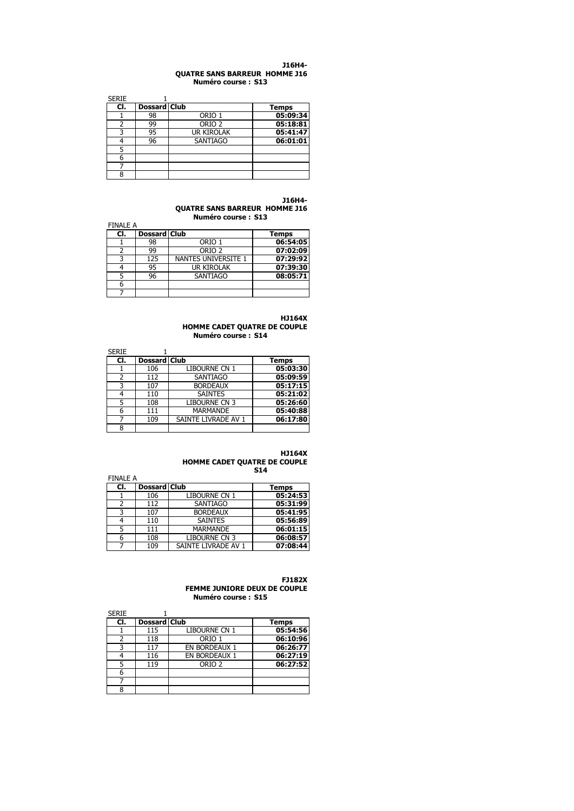#### **J16H4- QUATRE SANS BARREUR HOMME J16 Numéro course : S13**

| <b>SERIE</b> |                     |                   |              |
|--------------|---------------------|-------------------|--------------|
| CI.          | <b>Dossard Club</b> |                   | <b>Temps</b> |
|              | 98                  | ORIO 1            | 05:09:34     |
|              | 99                  | ORIO <sub>2</sub> | 05:18:81     |
|              | 95                  | <b>UR KIROLAK</b> | 05:41:47     |
|              | 96                  | <b>SANTIAGO</b>   | 06:01:01     |
|              |                     |                   |              |
|              |                     |                   |              |
|              |                     |                   |              |
| 8            |                     |                   |              |

**J16H4- QUATRE SANS BARREUR HOMME J16 Numéro course : S13**

| <b>FINALE A</b> |                     |                            |          |
|-----------------|---------------------|----------------------------|----------|
| CI.             | <b>Dossard Club</b> |                            | Temps    |
|                 | 98                  | ORIO 1                     | 06:54:05 |
|                 | 99                  | ORIO <sub>2</sub>          | 07:02:09 |
|                 | 125                 | <b>NANTES UNIVERSITE 1</b> | 07:29:92 |
|                 | 95                  | <b>UR KIROLAK</b>          | 07:39:30 |
|                 | 96                  | SANTIAGO                   | 08:05:71 |
|                 |                     |                            |          |
|                 |                     |                            |          |

**HJ164X**

**HOMME CADET QUATRE DE COUPLE Numéro course : S14**

| <b>SERIE</b> |                     |                      |              |
|--------------|---------------------|----------------------|--------------|
| CI.          | <b>Dossard Club</b> |                      | <b>Temps</b> |
|              | 106                 | LIBOURNE CN 1        | 05:03:30     |
| 2            | 112                 | <b>SANTIAGO</b>      | 05:09:59     |
| ς            | 107                 | <b>BORDEAUX</b>      | 05:17:15     |
|              | 110                 | <b>SAINTES</b>       | 05:21:02     |
| 5            | 108                 | <b>LIBOURNE CN 3</b> | 05:26:60     |
| 6            | 111                 | <b>MARMANDE</b>      | 05:40:88     |
|              | 109                 | SAINTE LIVRADE AV 1  | 06:17:80     |
| 8            |                     |                      |              |

#### **HJ164X HOMME CADET QUATRE DE COUPLE S14**

| <b>FINALE A</b> |              |                      |              |
|-----------------|--------------|----------------------|--------------|
| CI.             | Dossard Club |                      | <b>Temps</b> |
|                 | 106          | LIBOURNE CN 1        | 05:24:53     |
| 2               | 112          | <b>SANTIAGO</b>      | 05:31:99     |
| 3               | 107          | <b>BORDEAUX</b>      | 05:41:95     |
|                 | 110          | <b>SAINTES</b>       | 05:56:89     |
| 5               | 111          | <b>MARMANDE</b>      | 06:01:15     |
| 6               | 108          | <b>LIBOURNE CN 3</b> | 06:08:57     |
|                 | 109          | SAINTE LIVRADE AV 1  | 07:08:44     |

#### **FJ182X FEMME JUNIORE DEUX DE COUPLE Numéro course : S15**

| <b>SERIE</b> |                     |                   |              |
|--------------|---------------------|-------------------|--------------|
| CI.          | <b>Dossard Club</b> |                   | <b>Temps</b> |
|              | 115                 | LIBOURNE CN 1     | 05:54:56     |
|              | 118                 | ORIO 1            | 06:10:96     |
| ς            | 117                 | EN BORDEAUX 1     | 06:26:77     |
|              | 116                 | EN BORDEAUX 1     | 06:27:19     |
|              | 119                 | ORIO <sub>2</sub> | 06:27:52     |
| 6            |                     |                   |              |
|              |                     |                   |              |
| 8            |                     |                   |              |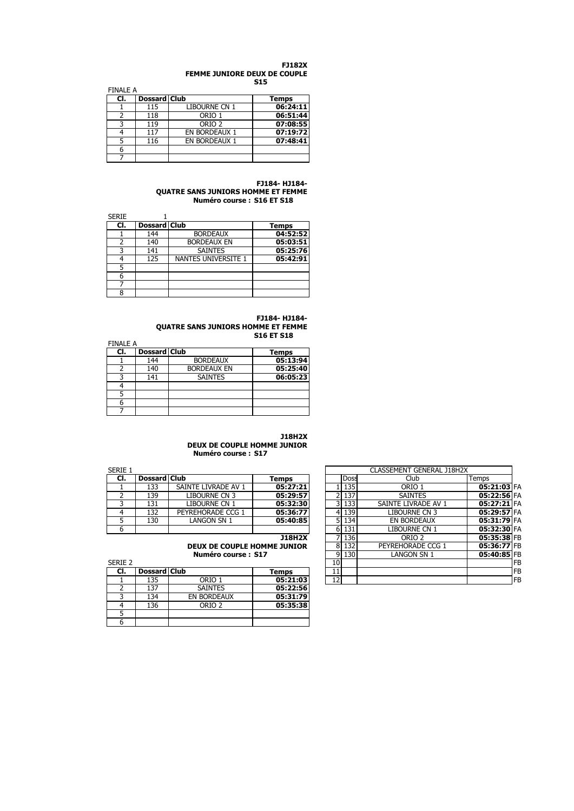#### **FJ182X FEMME JUNIORE DEUX DE COUPLE S15**

| <b>FINALE A</b> |                     |                      |              |
|-----------------|---------------------|----------------------|--------------|
| CI.             | <b>Dossard Club</b> |                      | <b>Temps</b> |
|                 | 115                 | LIBOURNE CN 1        | 06:24:11     |
|                 | 118                 | ORIO 1               | 06:51:44     |
|                 | 119                 | ORIO <sub>2</sub>    | 07:08:55     |
|                 | 117                 | <b>EN BORDEAUX 1</b> | 07:19:72     |
|                 | 116                 | EN BORDEAUX 1        | 07:48:41     |
|                 |                     |                      |              |
|                 |                     |                      |              |

#### **FJ184- HJ184- QUATRE SANS JUNIORS HOMME ET FEMME Numéro course : S16 ET S18**

| <b>SERIE</b> |                     |                     |              |
|--------------|---------------------|---------------------|--------------|
| CI.          | <b>Dossard Club</b> |                     | <b>Temps</b> |
|              | 144                 | <b>BORDEAUX</b>     | 04:52:52     |
|              | 140                 | <b>BORDEAUX EN</b>  | 05:03:51     |
|              | 141                 | <b>SAINTES</b>      | 05:25:76     |
| 4            | 125                 | NANTES UNIVERSITE 1 | 05:42:91     |
| 5            |                     |                     |              |
| 6            |                     |                     |              |
|              |                     |                     |              |
| 8            |                     |                     |              |

#### **FJ184- HJ184- QUATRE SANS JUNIORS HOMME ET FEMME S16 ET S18**

| <b>FINALE A</b> |                     |                    |              |
|-----------------|---------------------|--------------------|--------------|
| CI.             | <b>Dossard Club</b> |                    | <b>Temps</b> |
|                 | 144                 | <b>BORDEAUX</b>    | 05:13:94     |
|                 | 140                 | <b>BORDEAUX EN</b> | 05:25:40     |
|                 | 141                 | <b>SAINTES</b>     | 06:05:23     |
|                 |                     |                    |              |
|                 |                     |                    |              |
| 6               |                     |                    |              |
|                 |                     |                    |              |

### **J18H2X DEUX DE COUPLE HOMME JUNIOR Numéro course : S17**

| SERIE 1 |     |                     |                     |          | CLASSEMENT GENERAL J18H2X |             |                     |       |
|---------|-----|---------------------|---------------------|----------|---------------------------|-------------|---------------------|-------|
|         | CI. | <b>Dossard Club</b> |                     | Temps    |                           | <b>Doss</b> | Club                | Temps |
|         |     | 133                 | SAINTE LIVRADE AV 1 | 05:27:21 |                           | 135         | ORIO 1              | 05    |
|         |     | 139                 | LIBOURNE CN 3       | 05:29:57 |                           | 137         | <b>SAINTES</b>      | 05    |
|         |     | 131                 | LIBOURNE CN 1       | 05:32:30 |                           | 3 133       | SAINTE LIVRADE AV 1 | 05    |
|         |     | 132                 | PEYREHORADE CCG 1   | 05:36:77 |                           | 4 139       | LIBOURNE CN 3       | 05    |
|         |     | 130                 | LANGON SN 1         | 05:40:85 |                           | 5 134       | EN BORDEAUX         | 05    |
|         |     |                     |                     |          |                           | 131         | LIBOURNE CN 1       | 05    |

| SERIE 2 |              |                    |              |
|---------|--------------|--------------------|--------------|
| CI.     | Dossard Club |                    | <b>Temps</b> |
|         | 135          | ORIO 1             | 05:21:03     |
|         | 137          | <b>SAINTES</b>     | 05:22:56     |
|         | 134          | <b>EN BORDEAUX</b> | 05:31:79     |
|         | 136          | ORIO <sub>2</sub>  | 05:35:38     |
|         |              |                    |              |
|         |              |                    |              |

| Serie 1 | CLASSEMENT GENERAL J18H2X |                                    |               |                |                       |                     |               |           |
|---------|---------------------------|------------------------------------|---------------|----------------|-----------------------|---------------------|---------------|-----------|
| CI.     | Dossard Club              |                                    | Temps         |                | <b>Doss</b>           | Club                | Temps         |           |
|         | 133                       | SAINTE LIVRADE AV 1                | 05:27:21      |                | 135                   | ORIO 1              | 05:21:03 FA   |           |
|         | 139                       | LIBOURNE CN 3                      | 05:29:57      |                | 137<br>21             | <b>SAINTES</b>      | 05:22:56 FA   |           |
|         | 131                       | libourne CN 1                      | 05:32:30      |                | 133<br>$\overline{3}$ | SAINTE LIVRADE AV 1 | $05:27:21$ FA |           |
| 4       | 132                       | PEYREHORADE CCG 1                  | 05:36:77      |                | 139<br>4              | LIBOURNE CN 3       | 05:29:57 FA   |           |
| 5       | 130                       | LANGON SN 1                        | 05:40:85      |                | 51<br>134             | EN BORDEAUX         | 05:31:79 FA   |           |
| 6       |                           |                                    |               | 6 <sup>1</sup> | 131                   | LIBOURNE CN 1       | 05:32:30 FA   |           |
|         |                           |                                    | <b>J18H2X</b> |                | 136                   | ORIO 2              | 05:35:38 FB   |           |
|         |                           | <b>DEUX DE COUPLE HOMME JUNIOR</b> |               | 8              | 132                   | PEYREHORADE CCG 1   | 05:36:77 FB   |           |
|         |                           | Numéro course: S17                 |               | 9              | 130                   | Langon SN 1         | 05:40:85 FB   |           |
| Serie 2 |                           |                                    |               | 10             |                       |                     |               | <b>FB</b> |
| CI.     | Dossard Club              |                                    | Temps         | 11             |                       |                     |               | <b>FB</b> |
|         | 135                       | ORIO 1                             | 05:21:03      | 12             |                       |                     |               | <b>FB</b> |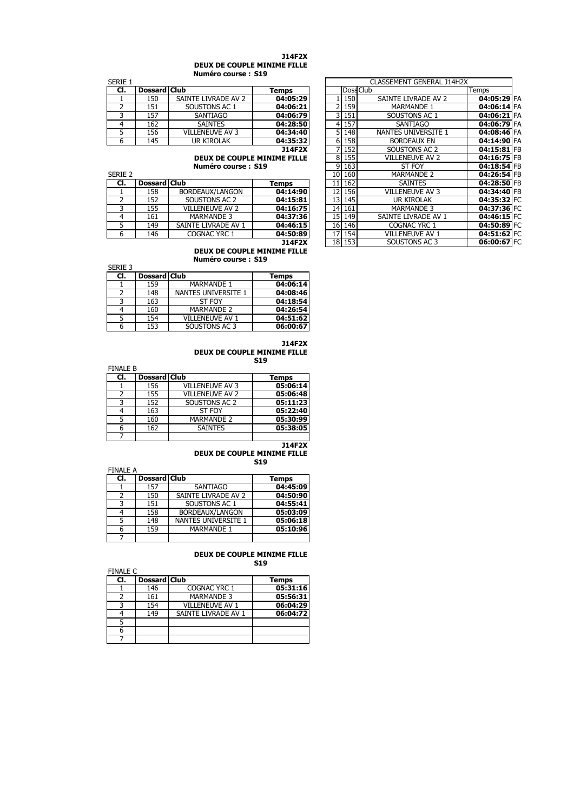#### **J14F2X DEUX DE COUPLE MINIME FILLE Numéro course : S19**

|         |              | <b>Numero course : 519</b> |          |         |                           |       |
|---------|--------------|----------------------------|----------|---------|---------------------------|-------|
| SERIE 1 |              |                            |          |         | CLASSEMENT GENERAL J14H2X |       |
| CI.     | Dossard Club |                            | Temps    |         | Doss Club                 | Temps |
|         | 150          | SAINTE LIVRADE AV 2        | 04:05:29 | 150     | SAINTE LIVRADE AV 2       | 04    |
|         | 151          | SOUSTONS AC 1              | 04:06:21 | 2 159   | <b>MARMANDE 1</b>         | 04    |
|         | 157          | SANTIAGO                   | 04:06:79 | 3 1 5 1 | SOUSTONS AC 1             | 04    |
|         | 162          | <b>SAINTES</b>             | 04:28:50 | 4 157   | <b>SANTIAGO</b>           | 04    |
|         | 156          | <b>VILLENEUVE AV 3</b>     | 04:34:40 | 5 148   | NANTES UNIVERSITE 1       | 04    |
|         | 145          | UR KIROLAK                 | 04:35:32 | 6 158   | <b>BORDEAUX EN</b>        | 04    |
|         |              |                            |          | _____   |                           |       |

| SERIE <sub>2</sub> |              |                        |          |
|--------------------|--------------|------------------------|----------|
| CI.                | Dossard Club |                        | Temps    |
|                    | 158          | BORDEAUX/LANGON        | 04:14:90 |
|                    | 152          | SOUSTONS AC 2          | 04:15:81 |
|                    | 155          | <b>VILLENEUVE AV 2</b> | 04:16:75 |
|                    | 161          | <b>MARMANDE 3</b>      | 04:37:36 |
|                    | 149          | SAINTE LIVRADE AV 1    | 04:46:15 |
|                    | 146          | COGNAC YRC 1           | 04:50:89 |
|                    |              |                        |          |

**DEUX DE COUPLE MINIME FILLE Numéro course : S19**

|         |              | NUMERO COUISE , 919    |          |
|---------|--------------|------------------------|----------|
| SERIE 3 |              |                        |          |
| CI.     | Dossard Club |                        | Temps    |
|         | 159          | <b>MARMANDE 1</b>      | 04:06:14 |
|         | 148          | NANTES UNIVERSITE 1    | 04:08:46 |
|         | 163          | ST FOY                 | 04:18:54 |
|         | 160          | <b>MARMANDE 2</b>      | 04:26:54 |
|         | 154          | <b>VILLENEUVE AV 1</b> | 04:51:62 |
|         | 153          | SOUSTONS AC 3          | 06:00:67 |

#### **J14F2X DEUX DE COUPLE MINIME FILLE S19**

| <b>FINALE B</b> |              |                        |              |
|-----------------|--------------|------------------------|--------------|
| CI.             | Dossard Club |                        | <b>Temps</b> |
|                 | 156          | <b>VILLENEUVE AV 3</b> | 05:06:14     |
|                 | 155          | <b>VILLENEUVE AV 2</b> | 05:06:48     |
|                 | 152          | SOUSTONS AC 2          | 05:11:23     |
|                 | 163          | ST FOY                 | 05:22:40     |
|                 | 160          | <b>MARMANDE 2</b>      | 05:30:99     |
|                 | 162          | <b>SAINTES</b>         | 05:38:05     |
|                 |              |                        |              |

#### **J14F2X DEUX DE COUPLE MINIME FILLE S19**

| FINAI F A |              |                     |          |
|-----------|--------------|---------------------|----------|
| CI.       | Dossard Club |                     | Temps    |
|           | 157          | <b>SANTIAGO</b>     | 04:45:09 |
|           | 150          | SAINTE LIVRADE AV 2 | 04:50:90 |
| っ         | 151          | SOUSTONS AC 1       | 04:55:41 |
|           | 158          | BORDEAUX/LANGON     | 05:03:09 |
|           | 148          | NANTES UNIVERSITE 1 | 05:06:18 |
|           | 159          | <b>MARMANDE 1</b>   | 05:10:96 |
|           |              |                     |          |

7

#### **DEUX DE COUPLE MINIME FILLE S19**

| <b>FINALE C</b> |                     |                        |          |
|-----------------|---------------------|------------------------|----------|
| CI.             | <b>Dossard Club</b> |                        | Temps    |
|                 | 146                 | COGNAC YRC 1           | 05:31:16 |
| 2               | 161                 | <b>MARMANDE 3</b>      | 05:56:31 |
| 3               | 154                 | <b>VILLENEUVE AV 1</b> | 06:04:29 |
|                 | 149                 | SAINTE LIVRADE AV 1    | 06:04:72 |
| 5               |                     |                        |          |
| 6               |                     |                        |          |
|                 |                     |                        |          |

| SERIE 1            |                     |                             |               |    |          | CLASSEMENT GENERAL J14H2X |             |  |
|--------------------|---------------------|-----------------------------|---------------|----|----------|---------------------------|-------------|--|
| CI.                | <b>Dossard Club</b> |                             | Temps         |    |          | Doss Club                 | Temps       |  |
|                    | 150                 | SAINTE LIVRADE AV 2         | 04:05:29      |    | 150      | SAINTE LIVRADE AV 2       | 04:05:29 FA |  |
| 2                  | 151                 | SOUSTONS AC 1               | 04:06:21      |    | 159      | <b>MARMANDE 1</b>         | 04:06:14 FA |  |
| 3                  | 157                 | <b>SANTIAGO</b>             | 04:06:79      |    | 3<br>151 | SOUSTONS AC 1             | 04:06:21 FA |  |
| 4                  | 162                 | <b>SAINTES</b>              | 04:28:50      |    | 157<br>4 | <b>SANTIAGO</b>           | 04:06:79 FA |  |
| 5                  | 156                 | <b>VILLENEUVE AV 3</b>      | 04:34:40      |    | 5<br>148 | NANTES UNIVERSITE 1       | 04:08:46 FA |  |
| 6                  | 145                 | UR KIROLAK                  | 04:35:32      |    | 158<br>6 | <b>BORDEAUX EN</b>        | 04:14:90 FA |  |
|                    |                     |                             | <b>J14F2X</b> |    | 152      | SOUSTONS AC 2             | 04:15:81 FB |  |
|                    |                     | DEUX DE COUPLE MINIME FILLE |               |    | 155<br>8 | VILLENEUVE AV 2           | 04:16:75 FB |  |
| Numéro course: S19 |                     |                             |               |    | 9<br>163 | ST FOY                    | 04:18:54 FB |  |
| Serie 2            |                     |                             |               | 10 | 160      | <b>MARMANDE 2</b>         | 04:26:54 FB |  |
| CI.                | <b>Dossard Club</b> |                             | Temps         | 11 | 162      | <b>SAINTES</b>            | 04:28:50 FB |  |
|                    | 158                 | BORDEAUX/LANGON             | 04:14:90      | 12 | 156      | VILLENEUVE AV 3           | 04:34:40 FB |  |
| 2                  | 152                 | SOUSTONS AC 2               | 04:15:81      | 13 | 145      | <b>UR KIROLAK</b>         | 04:35:32 FC |  |
| 3                  | 155                 | <b>VILLENEUVE AV 2</b>      | 04:16:75      | 14 | 161      | <b>MARMANDE 3</b>         | 04:37:36 FC |  |
| 4                  | 161                 | <b>MARMANDE 3</b>           | 04:37:36      | 15 | 149      | SAINTE LIVRADE AV 1       | 04:46:15 FC |  |
| 5                  | 149                 | SAINTE LIVRADE AV 1         | 04:46:15      | 16 | 146      | COGNAC YRC 1              | 04:50:89 FC |  |
| 6                  | 146                 | COGNAC YRC 1                | 04:50:89      | 17 | 154      | VILLENEUVE AV 1           | 04:51:62 FC |  |
|                    |                     |                             | <b>J14F2X</b> |    | 18 153   | SOUSTONS AC 3             | 06:00:67 FC |  |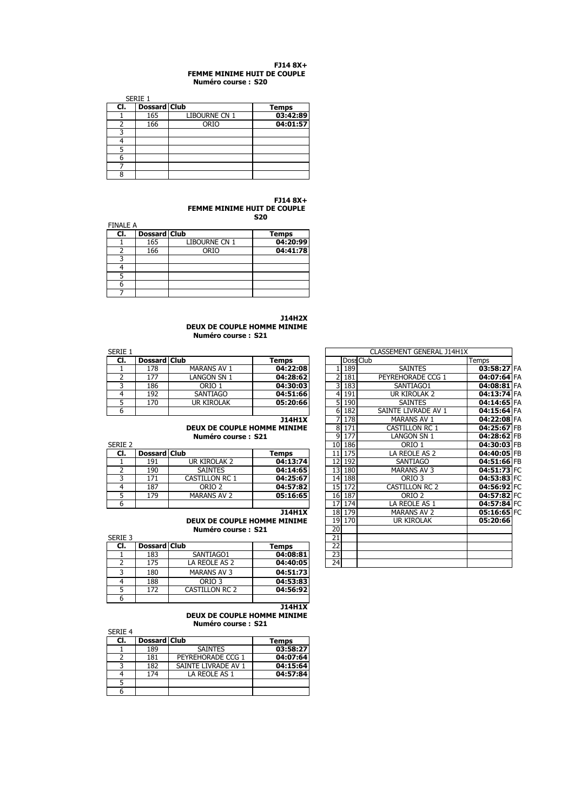#### **FJ14 8X+ FEMME MINIME HUIT DE COUPLE Numéro course : S20**

|     | SERIE 1             |               |              |
|-----|---------------------|---------------|--------------|
| CI. | <b>Dossard Club</b> |               | <b>Temps</b> |
|     | 165                 | LIBOURNE CN 1 | 03:42:89     |
|     | 166                 | ORIO          | 04:01:57     |
| ว   |                     |               |              |
|     |                     |               |              |
|     |                     |               |              |
|     |                     |               |              |
|     |                     |               |              |
| 8   |                     |               |              |

**FJ14 8X+ FEMME MINIME HUIT DE COUPLE** 

**S20**

| <b>FINALE A</b> |                     |               |              |
|-----------------|---------------------|---------------|--------------|
| CI.             | <b>Dossard Club</b> |               | <b>Temps</b> |
|                 | 165                 | LIBOURNE CN 1 | 04:20:99     |
|                 | 166                 | ORIO          | 04:41:78     |
|                 |                     |               |              |
|                 |                     |               |              |
|                 |                     |               |              |
|                 |                     |               |              |
|                 |                     |               |              |

**J14H2X DEUX DE COUPLE HOMME MINIME Numéro course : S21**

| SERIE 1 |     |              |                    |          |  | CLASSEMENT GENERAL J14H1X |       |                     |       |
|---------|-----|--------------|--------------------|----------|--|---------------------------|-------|---------------------|-------|
|         | CI. | Dossard Club |                    | Temps    |  |                           |       | Doss Club           | Temps |
|         |     | 178          | <b>MARANS AV 1</b> | 04:22:08 |  |                           | 189   | <b>SAINTES</b>      | 03    |
|         |     | 177          | LANGON SN 1        | 04:28:62 |  |                           | 181   | PEYREHORADE CCG 1   | 04    |
|         |     | 186          | ORIO 1             | 04:30:03 |  |                           | 183   | SANTIAGO1           | 04    |
|         |     | 192          | SANTIAGO           | 04:51:66 |  |                           | 191   | UR KIROLAK 2        | 04    |
|         |     | 170          | <b>UR KIROLAK</b>  | 05:20:66 |  |                           | 5 190 | <b>SAINTES</b>      | 04    |
|         |     |              |                    |          |  |                           | 6 182 | SAINTE LIVRADE AV 1 | 04    |

| JLNIL Z |              |                       |              |
|---------|--------------|-----------------------|--------------|
| CI.     | Dossard Club |                       | <b>Temps</b> |
|         | 191          | UR KIROLAK 2          | 04:13:74     |
|         | 190          | <b>SAINTES</b>        | 04:14:65     |
|         | 171          | <b>CASTILLON RC 1</b> | 04:25:67     |
|         | 187          | ORIO <sub>2</sub>     | 04:57:82     |
|         | 179          | <b>MARANS AV 2</b>    | 05:16:65     |
|         |              |                       |              |

### **J14H1X DEUX DE COUPLE HOMME MINIME Numéro course : S21**

SERIE 3 21 **Cl. Dossard Club Temps**<br>1 183 5ANTIAGO1 **04:08:81** 1 1 183 SANTIAGO1 **04:08:81**<br>2 175 LA REOLE AS 2 **04:40:05** LA REOLE AS 2 3 180 MARANS AV 3 **04:51:73** 188 ORIO 3 **04:53:83**<br>5 172 CASTILLON RC 2 **04:56:92** 172 CASTILLON RC 2 6

> **J14H1X DEUX DE COUPLE HOMME MINIME**

**Numéro course : S21**

| SERIE 4 |                     | INIHICI V LUUI JC I J41 |          |
|---------|---------------------|-------------------------|----------|
| CI.     | <b>Dossard Club</b> |                         | Temps    |
|         | 189                 | <b>SAINTES</b>          | 03:58:27 |
|         | 181                 | PEYREHORADE CCG 1       | 04:07:64 |
|         | 182                 | SAINTE LIVRADE AV 1     | 04:15:64 |
|         | 174                 | LA REOLE AS 1           | 04:57:84 |
|         |                     |                         |          |
|         |                     |                         |          |

| SERIE 1        |                     |                             |               |    |    |           | CLASSEMENT GENERAL J14H1X |               |  |
|----------------|---------------------|-----------------------------|---------------|----|----|-----------|---------------------------|---------------|--|
| CI.            | Dossard Club        |                             | Temps         |    |    | Doss Club |                           | Temps         |  |
|                | 178                 | <b>MARANS AV 1</b>          | 04:22:08      |    |    | 189       | <b>SAINTES</b>            | 03:58:27 FA   |  |
| 2              | 177                 | LANGON SN 1                 | 04:28:62      |    | 2  | 181       | PEYREHORADE CCG 1         | 04:07:64 FA   |  |
| 3              | 186                 | ORIO 1                      | 04:30:03      |    | 3  | 183       | SANTIAGO1                 | $04:08:81$ FA |  |
| 4              | 192                 | <b>SANTIAGO</b>             | 04:51:66      |    | 4  | 191       | UR KIROLAK 2              | 04:13:74 FA   |  |
| 5              | 170                 | ur Kirolak                  | 05:20:66      |    | 5  | 190       | <b>SAINTES</b>            | 04:14:65 FA   |  |
| 6              |                     |                             |               |    | 6  | 182       | SAINTE LIVRADE AV 1       | 04:15:64 FA   |  |
|                |                     |                             | <b>J14H1X</b> |    | 7  | 178       | MARANS AV 1               | 04:22:08 FA   |  |
|                |                     | DEUX DE COUPLE HOMME MINIME |               |    | 8  | 171       | <b>CASTILLON RC 1</b>     | 04:25:67 FB   |  |
|                |                     | Numéro course: S21          |               |    | 9  | 177       | LANGON SN 1               | 04:28:62 FB   |  |
| Serie 2        |                     |                             |               |    | 10 | 186       | ORIO 1                    | 04:30:03 FB   |  |
| CI.            | Dossard Club        |                             | Temps         |    | 11 | 175       | LA REOLE AS 2             | 04:40:05 FB   |  |
|                | 191                 | UR KIROLAK 2                | 04:13:74      |    | 12 | 192       | <b>SANTIAGO</b>           | 04:51:66 FB   |  |
| $\overline{2}$ | 190                 | <b>SAINTES</b>              | 04:14:65      |    | 13 | 180       | <b>MARANS AV 3</b>        | 04:51:73 FC   |  |
| 3              | 171                 | <b>CASTILLON RC 1</b>       | 04:25:67      |    | 14 | 188       | ORIO <sub>3</sub>         | 04:53:83 FC   |  |
| 4              | 187                 | ORIO <sub>2</sub>           | 04:57:82      |    | 15 | 172       | <b>CASTILLON RC 2</b>     | 04:56:92 FC   |  |
| 5              | 179                 | <b>MARANS AV 2</b>          | 05:16:65      |    | 16 | 187       | ORIO <sub>2</sub>         | 04:57:82 FC   |  |
| 6              |                     |                             |               |    | 17 | 174       | LA REOLE AS 1             | 04:57:84 FC   |  |
|                |                     |                             | <b>J14H1X</b> |    | 18 | 179       | <b>MARANS AV 2</b>        | 05:16:65 FC   |  |
|                |                     | DEUX DE COUPLE HOMME MINIME |               |    | 19 | 170       | <b>UR KIROLAK</b>         | 05:20:66      |  |
|                |                     | Numéro course: S21          |               |    | 20 |           |                           |               |  |
| SERIE 3        |                     |                             |               | 21 |    |           |                           |               |  |
| CI.            | <b>Dossard Club</b> |                             | <b>Temps</b>  |    | 22 |           |                           |               |  |
|                | 183                 | SANTIAGO1                   | 04:08:81      |    | 23 |           |                           |               |  |
| $\mathcal{P}$  | 175                 | A REOLE AS 2                | 04.40.05      |    | 74 |           |                           |               |  |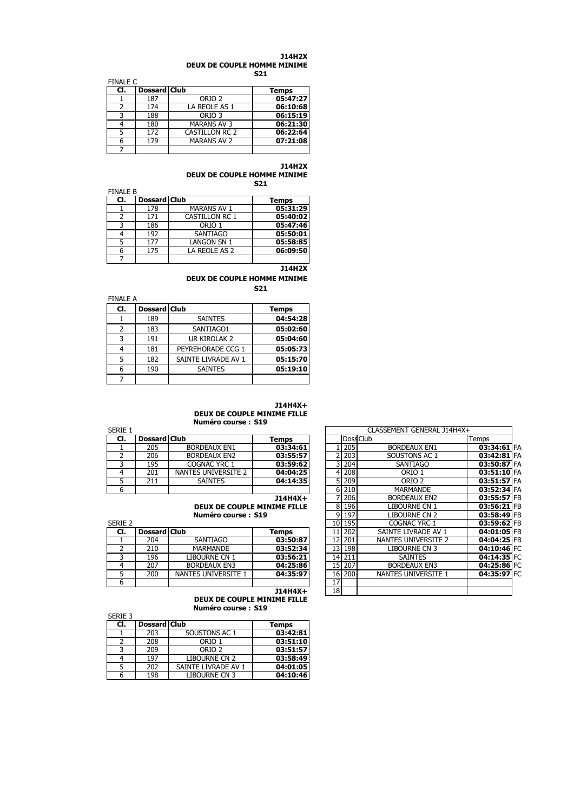#### **J14H2X DEUX DE COUPLE HOMME MINIME S21**

| <b>FINALE C</b> |              |                       | 34 L         |
|-----------------|--------------|-----------------------|--------------|
| CI.             | Dossard Club |                       | <b>Temps</b> |
|                 | 187          | ORIO <sub>2</sub>     | 05:47:27     |
|                 | 174          | LA REOLE AS 1         | 06:10:68     |
| ₹               | 188          | ORIO <sub>3</sub>     | 06:15:19     |
|                 | 180          | <b>MARANS AV 3</b>    | 06:21:30     |
| 5               | 172          | <b>CASTILLON RC 2</b> | 06:22:64     |
|                 | 179          | <b>MARANS AV 2</b>    | 07:21:08     |
|                 |              |                       |              |

# **J14H2X**

**DEUX DE COUPLE HOMME MINIME S21**

| <b>FINALE B</b> |                     |                       |              |
|-----------------|---------------------|-----------------------|--------------|
| CI.             | <b>Dossard Club</b> |                       | <b>Temps</b> |
|                 | 178                 | <b>MARANS AV 1</b>    | 05:31:29     |
|                 | 171                 | <b>CASTILLON RC 1</b> | 05:40:02     |
| 3               | 186                 | ORIO <sub>1</sub>     | 05:47:46     |
|                 | 192                 | <b>SANTIAGO</b>       | 05:50:01     |
|                 | 177                 | <b>LANGON SN 1</b>    | 05:58:85     |
| 6               | 175                 | LA REOLE AS 2         | 06:09:50     |
|                 |                     |                       |              |
|                 |                     |                       |              |

**J14H2X**

**DEUX DE COUPLE HOMME MINIME S21**

| FINALE A |                     |                     |          |  |  |  |
|----------|---------------------|---------------------|----------|--|--|--|
| CI.      | <b>Dossard Club</b> |                     | Temps    |  |  |  |
|          | 189                 | <b>SAINTES</b>      | 04:54:28 |  |  |  |
| 2        | 183                 | SANTIAGO1           | 05:02:60 |  |  |  |
| 3        | 191                 | UR KIROLAK 2        | 05:04:60 |  |  |  |
|          | 181                 | PEYREHORADE CCG 1   | 05:05:73 |  |  |  |
| 5        | 182                 | SAINTE LIVRADE AV 1 | 05:15:70 |  |  |  |
| 6        | 190                 | <b>SAINTES</b>      | 05:19:10 |  |  |  |
|          |                     |                     |          |  |  |  |

# **J14H4X+**

**DEUX DE COUPLE MINIME FILLE Numéro course : S19**

| SERIE 1 |                     |                     |          |  |       | CLASSEMENT GENERAL J14H4X+ |       |
|---------|---------------------|---------------------|----------|--|-------|----------------------------|-------|
| CI.     | <b>Dossard Club</b> |                     | Temps    |  |       | Doss Club                  | Temps |
|         | 205                 | <b>BORDEAUX EN1</b> | 03:34:61 |  | 205   | <b>BORDEAUX EN1</b>        | 03    |
|         | 206                 | <b>BORDEAUX EN2</b> | 03:55:57 |  | 203   | SOUSTONS AC 1              | 03    |
|         | 195                 | COGNAC YRC 1        | 03:59:62 |  | 204   | <b>SANTIAGO</b>            | 03    |
|         | 201                 | NANTES UNIVERSITE 2 | 04:04:25 |  | 208   | ORIO 1                     | 03    |
|         | 211                 | <b>SAINTES</b>      | 04:14:35 |  | 209   | ORIO <sub>2</sub>          | 03    |
|         |                     |                     |          |  | 6.210 | ΜΔΡΜΔΝΠΕ                   | nз    |

| <b>SLINIL</b> 2 |                     |                     |          |    | 1011931 | LUUINAL INCI        | <u>UJ.JJ.UZII L</u> |  |
|-----------------|---------------------|---------------------|----------|----|---------|---------------------|---------------------|--|
| CI.             | <b>Dossard Club</b> |                     | Temps    |    | 202     | SAINTE LIVRADE AV 1 | 04:01:05 FB         |  |
|                 | 204                 | SANTIAGO            | 03:50:87 |    | 12 201  | NANTES UNIVERSITE 2 | 04:04:25 FB         |  |
|                 | 210                 | <b>MARMANDE</b>     | 03:52:34 |    | 13 198  | LIBOURNE CN 3       | 04:10:46 FC         |  |
|                 | 196                 | LIBOURNE CN 1       | 03:56:21 |    | 14 211  | <b>SAINTES</b>      | 04:14:35 FC         |  |
|                 | 207                 | <b>BORDEAUX EN3</b> | 04:25:86 |    | 15 207  | <b>BORDEAUX EN3</b> | 04:25:86 FC         |  |
|                 | 200                 | NANTES UNIVERSITE 1 | 04:35:97 |    | 16 200  | NANTES UNIVERSITE 1 | 04:35:97 FC         |  |
| b               |                     |                     |          |    |         |                     |                     |  |
|                 |                     |                     | J14H4X+  | 18 |         |                     |                     |  |

**DEUX DE COUPLE MINIME FILLE Numéro course : S19**

| <b>INUITELO COULSE : 317</b> |  |
|------------------------------|--|
|                              |  |

|         |              | NUMERO COURSE , 919  |          |
|---------|--------------|----------------------|----------|
| SERIE 3 |              |                      |          |
| CI.     | Dossard Club |                      | Temps    |
|         | 203          | SOUSTONS AC 1        | 03:42:81 |
|         | 208          | ORIO 1               | 03:51:10 |
| ς       | 209          | ORIO <sub>2</sub>    | 03:51:57 |
| 4       | 197          | <b>LIBOURNE CN 2</b> | 03:58:49 |
| 5       | 202          | SAINTE LIVRADE AV 1  | 04:01:05 |
| ь       | 198          | <b>LIBOURNE CN 3</b> | 04:10:46 |
|         |              |                      |          |

| SERIE 1 |                     |                                    |              | CLASSEMENT GENERAL J14H4X+ |          |                     |               |
|---------|---------------------|------------------------------------|--------------|----------------------------|----------|---------------------|---------------|
| CI.     | <b>Dossard Club</b> |                                    | Temps        |                            |          | Doss Club           | Temps         |
|         | 205                 | <b>BORDEAUX EN1</b>                | 03:34:61     |                            | 205      | <b>BORDEAUX EN1</b> | 03:34:61 FA   |
| 2       | 206                 | <b>BORDEAUX EN2</b>                | 03:55:57     |                            | 203      | SOUSTONS AC 1       | 03:42:81 FA   |
| 3       | 195                 | COGNAC YRC 1                       | 03:59:62     |                            | 204<br>3 | <b>SANTIAGO</b>     | 03:50:87 FA   |
| 4       | 201                 | NANTES UNIVERSITE 2                | 04:04:25     |                            | 208<br>4 | ORIO 1              | 03:51:10 FA   |
| 5       | 211                 | <b>SAINTES</b>                     | 04:14:35     |                            | 209<br>5 | ORIO <sub>2</sub>   | 03:51:57 FA   |
| 6       |                     |                                    |              | 6                          | 210      | <b>MARMANDE</b>     | 03:52:34 FA   |
|         |                     |                                    | J14H4X+      |                            | 206      | <b>BORDEAUX EN2</b> | 03:55:57 FB   |
|         |                     | <b>DEUX DE COUPLE MINIME FILLE</b> |              |                            | 8<br>196 | LIBOURNE CN 1       | 03:56:21 FB   |
|         |                     | Numéro course: S19                 |              | ٩                          | 197      | LIBOURNE CN 2       | 03:58:49 FB   |
| Serie 2 |                     |                                    |              | 10                         | 195      | COGNAC YRC 1        | 03:59:62 FB   |
| CI.     | <b>Dossard Club</b> |                                    | <b>Temps</b> | 11                         | 202      | SAINTE LIVRADE AV 1 | 04:01:05 FB   |
|         | 204                 | <b>SANTIAGO</b>                    | 03:50:87     | 12                         | 201      | NANTES UNIVERSITE 2 | 04:04:25 FB   |
| 2       | 210                 | <b>MARMANDE</b>                    | 03:52:34     | 13                         | 198      | LIBOURNE CN 3       | $04:10:46$ FC |
| 3       | 196                 | LIBOURNE CN 1                      | 03:56:21     | 14                         | 211      | <b>SAINTES</b>      | 04:14:35 FC   |
| 4       | 207                 | <b>BORDEAUX EN3</b>                | 04:25:86     | 15                         | 207      | <b>BORDEAUX EN3</b> | 04:25:86 FC   |
| 5.      | 200                 | NANTES UNIVERSITE 1                | 04:35:97     | 16                         | 200      | NANTES UNIVERSITE 1 | 04:35:97 FC   |
| 6       |                     |                                    |              | 17                         |          |                     |               |
|         |                     |                                    | 114H4X+      | 18                         |          |                     |               |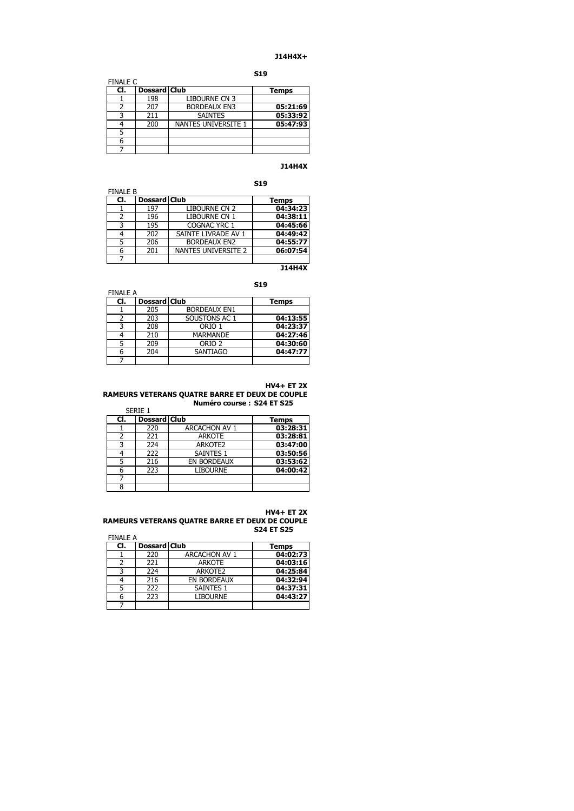# **J14H4X+**

**S19**

| <b>FINALE C</b> |                     |                            |          |
|-----------------|---------------------|----------------------------|----------|
| CI.             | <b>Dossard Club</b> |                            | Temps    |
|                 | 198                 | <b>LIBOURNE CN 3</b>       |          |
|                 | 207                 | <b>BORDEAUX EN3</b>        | 05:21:69 |
|                 | 211                 | <b>SAINTES</b>             | 05:33:92 |
|                 | 200                 | <b>NANTES UNIVERSITE 1</b> | 05:47:93 |
|                 |                     |                            |          |
| 6               |                     |                            |          |
|                 |                     |                            |          |

# **J14H4X**

**S19**

| <b>FINALE B</b> |                     |                      |          |
|-----------------|---------------------|----------------------|----------|
| CI.             | <b>Dossard Club</b> |                      | Temps    |
|                 | 197                 | <b>LIBOURNE CN 2</b> | 04:34:23 |
| 2               | 196                 | LIBOURNE CN 1        | 04:38:11 |
| 3               | 195                 | COGNAC YRC 1         | 04:45:66 |
| 4               | 202                 | SAINTE LIVRADE AV 1  | 04:49:42 |
|                 | 206                 | <b>BORDEAUX EN2</b>  | 04:55:77 |
| 6               | 201                 | NANTES UNIVERSITE 2  | 06:07:54 |
|                 |                     |                      |          |

**J14H4X**

# **S19**

| <b>FINALE A</b> |                     |                     |              |
|-----------------|---------------------|---------------------|--------------|
| CI.             | <b>Dossard Club</b> |                     | <b>Temps</b> |
|                 | 205                 | <b>BORDEAUX EN1</b> |              |
|                 | 203                 | SOUSTONS AC 1       | 04:13:55     |
| ٦               | 208                 | ORIO 1              | 04:23:37     |
|                 | 210                 | <b>MARMANDE</b>     | 04:27:46     |
| 5               | 209                 | ORIO <sub>2</sub>   | 04:30:60     |
| 6               | 204                 | <b>SANTIAGO</b>     | 04:47:77     |
|                 |                     |                     |              |

# **HV4+ ET 2X**

# **RAMEURS VETERANS QUATRE BARRE ET DEUX DE COUPLE Numéro course : S24 ET S25**

**Cl. Dossard Club Temps**<br>1 220 **ARCACHON AV 1 03:28:31** 1 220 ARCACHON AV 1<br>2 221 ARKOTE 2 221 ARKOTE **03:28:81** 3 224 ARKOTE2 **03:47:00** 4 222 SAINTES 1 **03:50:56** 5 216 EN BORDEAUX **03:53:62** LIBOURNE 7 8 SERIE 1

#### **HV4+ ET 2X RAMEURS VETERANS QUATRE BARRE ET DEUX DE COUPLE S24 ET S25**

FINALE A

| CI. | <b>Dossard Club</b> |                      | <b>Temps</b> |
|-----|---------------------|----------------------|--------------|
|     | 220                 | <b>ARCACHON AV 1</b> | 04:02:73     |
|     | 221                 | <b>ARKOTE</b>        | 04:03:16     |
|     | 224                 | ARKOTE2              | 04:25:84     |
|     | 216                 | EN BORDEAUX          | 04:32:94     |
|     | 222                 | <b>SAINTES 1</b>     | 04:37:31     |
|     | 223                 | <b>LIBOURNE</b>      | 04:43:27     |
|     |                     |                      |              |